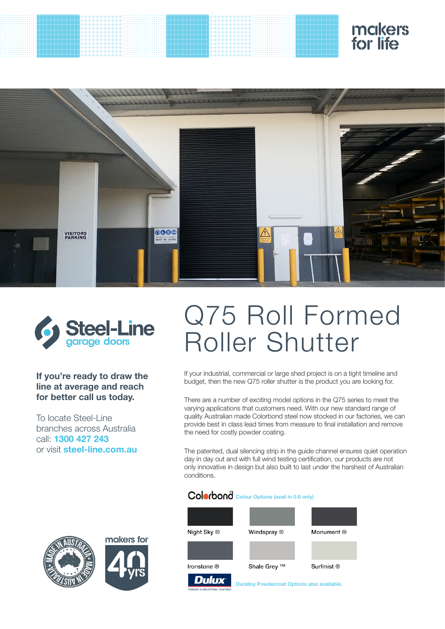# makers<br>for life





### **If you're ready to draw the line at average and reach for better call us today.**

To locate Steel-Line branches across Australia call: **1300 427 243**  or visit **steel-line.com.au**

## Q75 Roll Formed Roller Shutter

If your industrial, commercial or large shed project is on a tight timeline and budget, then the new Q75 roller shutter is the product you are looking for.

There are a number of exciting model options in the Q75 series to meet the varying applications that customers need. With our new standard range of quality Australian made Colorbond steel now stocked in our factories, we can provide best in class lead times from measure to final installation and remove the need for costly powder coating.

The patented, dual silencing strip in the guide channel ensures quiet operation day in day out and with full wind testing certification, our products are not only innovative in design but also built to last under the harshest of Australian conditions.

## Colorbond Colour Options (avail in 0.6 only)



makers for